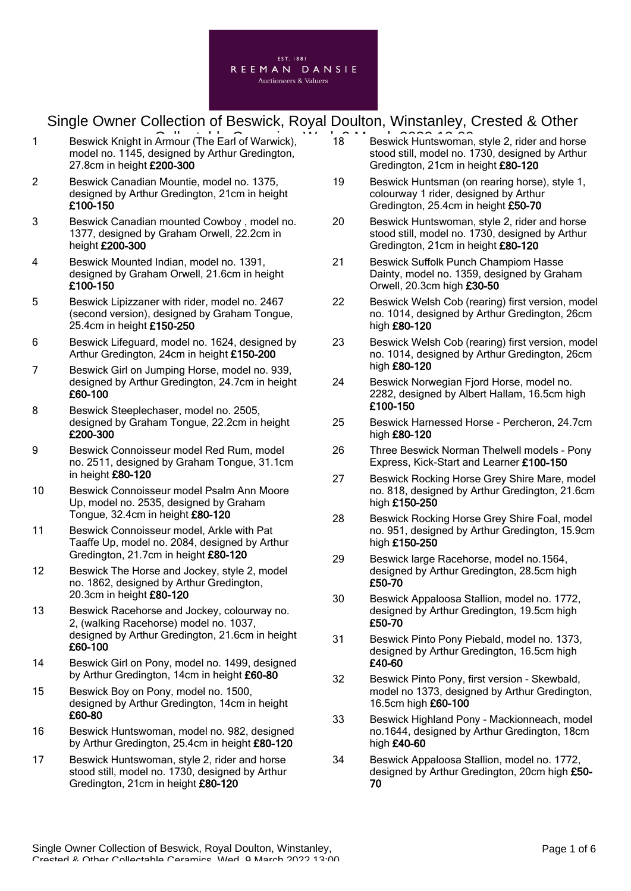

- 1 Beswick Knight in Armour (The Earl of Warwick),  $\overline{18}$  Beswick Huntswoman model no. 1145, designed by Arthur Gredington, 27.8cm in height £200-300
- 2 Beswick Canadian Mountie, model no. 1375, designed by Arthur Gredington, 21cm in height £100-150
- 3 Beswick Canadian mounted Cowboy , model no. 1377, designed by Graham Orwell, 22.2cm in height £200-300
- 4 Beswick Mounted Indian, model no. 1391, designed by Graham Orwell, 21.6cm in height £100-150
- 5 Beswick Lipizzaner with rider, model no. 2467 (second version), designed by Graham Tongue, 25.4cm in height £150-250
- 6 Beswick Lifeguard, model no. 1624, designed by Arthur Gredington, 24cm in height £150-200
- 7 Beswick Girl on Jumping Horse, model no. 939, designed by Arthur Gredington, 24.7cm in height £60-100
- 8 Beswick Steeplechaser, model no. 2505, designed by Graham Tongue, 22.2cm in height £200-300
- 9 Beswick Connoisseur model Red Rum, model no. 2511, designed by Graham Tongue, 31.1cm in height £80-120
- 10 Beswick Connoisseur model Psalm Ann Moore Up, model no. 2535, designed by Graham Tongue, 32.4cm in height £80-120
- 11 Beswick Connoisseur model, Arkle with Pat Taaffe Up, model no. 2084, designed by Arthur Gredington, 21.7cm in height £80-120
- 12 Beswick The Horse and Jockey, style 2, model no. 1862, designed by Arthur Gredington, 20.3cm in height £80-120
- 13 Beswick Racehorse and Jockey, colourway no. 2, (walking Racehorse) model no. 1037, designed by Arthur Gredington, 21.6cm in height £60-100
- 14 Beswick Girl on Pony, model no. 1499, designed by Arthur Gredington, 14cm in height £60-80
- 15 Beswick Boy on Pony, model no. 1500, designed by Arthur Gredington, 14cm in height £60-80
- 16 Beswick Huntswoman, model no. 982, designed by Arthur Gredington, 25.4cm in height £80-120
- 17 Beswick Huntswoman, style 2, rider and horse stood still, model no. 1730, designed by Arthur Gredington, 21cm in height £80-120
- 18 Beswick Huntswoman, style 2, rider and horse stood still, model no. 1730, designed by Arthur Gredington, 21cm in height £80-120
- 19 Beswick Huntsman (on rearing horse), style 1, colourway 1 rider, designed by Arthur Gredington, 25.4cm in height £50-70
- 20 Beswick Huntswoman, style 2, rider and horse stood still, model no. 1730, designed by Arthur Gredington, 21cm in height £80-120
- 21 Beswick Suffolk Punch Champiom Hasse Dainty, model no. 1359, designed by Graham Orwell, 20.3cm high £30-50
- 22 Beswick Welsh Cob (rearing) first version, model no. 1014, designed by Arthur Gredington, 26cm high £80-120
- 23 Beswick Welsh Cob (rearing) first version, model no. 1014, designed by Arthur Gredington, 26cm high £80-120
- 24 Beswick Norwegian Fjord Horse, model no. 2282, designed by Albert Hallam, 16.5cm high £100-150
- 25 Beswick Harnessed Horse Percheron, 24.7cm high £80-120
- 26 Three Beswick Norman Thelwell models Pony Express, Kick-Start and Learner £100-150
- 27 Beswick Rocking Horse Grey Shire Mare, model no. 818, designed by Arthur Gredington, 21.6cm high £150-250
- 28 Beswick Rocking Horse Grey Shire Foal, model no. 951, designed by Arthur Gredington, 15.9cm high £150-250
- 29 Beswick large Racehorse, model no.1564, designed by Arthur Gredington, 28.5cm high £50-70
- 30 Beswick Appaloosa Stallion, model no. 1772, designed by Arthur Gredington, 19.5cm high £50-70
- 31 Beswick Pinto Pony Piebald, model no. 1373, designed by Arthur Gredington, 16.5cm high £40-60
- 32 Beswick Pinto Pony, first version Skewbald, model no 1373, designed by Arthur Gredington, 16.5cm high £60-100
- 33 Beswick Highland Pony Mackionneach, model no.1644, designed by Arthur Gredington, 18cm high £40-60
- 34 Beswick Appaloosa Stallion, model no. 1772, designed by Arthur Gredington, 20cm high £50- 70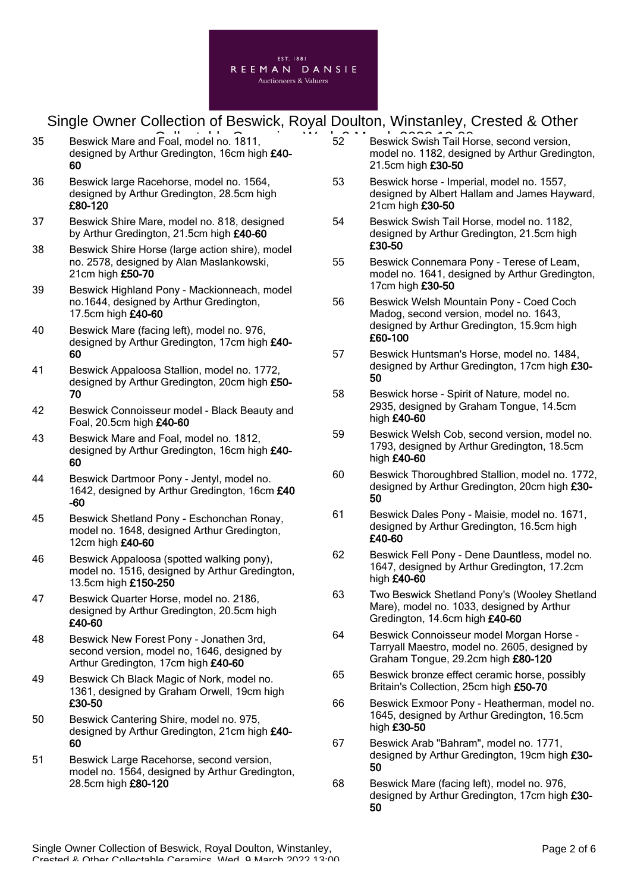

- 35 Beswick Mare and Foal, model no. 1811, **Collection Ceramics, Collection Ceramics**, Collection Ceramics, Collect designed by Arthur Gredington, 16cm high £40-60
- 36 Beswick large Racehorse, model no. 1564, designed by Arthur Gredington, 28.5cm high £80-120
- 37 Beswick Shire Mare, model no. 818, designed by Arthur Gredington, 21.5cm high £40-60
- 38 Beswick Shire Horse (large action shire), model no. 2578, designed by Alan Maslankowski, 21cm high £50-70
- 39 Beswick Highland Pony Mackionneach, model no.1644, designed by Arthur Gredington, 17.5cm high £40-60
- 40 Beswick Mare (facing left), model no. 976, designed by Arthur Gredington, 17cm high £40- 60
- 41 Beswick Appaloosa Stallion, model no. 1772, designed by Arthur Gredington, 20cm high £50-70
- 42 Beswick Connoisseur model Black Beauty and Foal, 20.5cm high £40-60
- 43 Beswick Mare and Foal, model no. 1812, designed by Arthur Gredington, 16cm high £40- 60
- 44 Beswick Dartmoor Pony Jentyl, model no. 1642, designed by Arthur Gredington, 16cm £40 -60
- 45 Beswick Shetland Pony Eschonchan Ronay, model no. 1648, designed Arthur Gredington, 12cm high £40-60
- 46 Beswick Appaloosa (spotted walking pony), model no. 1516, designed by Arthur Gredington, 13.5cm high £150-250
- 47 Beswick Quarter Horse, model no. 2186, designed by Arthur Gredington, 20.5cm high £40-60
- 48 Beswick New Forest Pony Jonathen 3rd, second version, model no, 1646, designed by Arthur Gredington, 17cm high £40-60
- 49 Beswick Ch Black Magic of Nork, model no. 1361, designed by Graham Orwell, 19cm high £30-50
- 50 Beswick Cantering Shire, model no. 975, designed by Arthur Gredington, 21cm high £40- 60
- 51 Beswick Large Racehorse, second version, model no. 1564, designed by Arthur Gredington, 28.5cm high £80-120
- 52 Beswick Swish Tail Horse, second version, model no. 1182, designed by Arthur Gredington, 21.5cm high £30-50
- 53 Beswick horse Imperial, model no. 1557, designed by Albert Hallam and James Hayward, 21cm high £30-50
- 54 Beswick Swish Tail Horse, model no. 1182, designed by Arthur Gredington, 21.5cm high £30-50
- 55 Beswick Connemara Pony Terese of Leam, model no. 1641, designed by Arthur Gredington, 17cm high £30-50
- 56 Beswick Welsh Mountain Pony Coed Coch Madog, second version, model no. 1643, designed by Arthur Gredington, 15.9cm high £60-100
- 57 Beswick Huntsman's Horse, model no. 1484, designed by Arthur Gredington, 17cm high £30- 50
- 58 Beswick horse Spirit of Nature, model no. 2935, designed by Graham Tongue, 14.5cm high £40-60
- 59 Beswick Welsh Cob, second version, model no. 1793, designed by Arthur Gredington, 18.5cm high £40-60
- 60 Beswick Thoroughbred Stallion, model no. 1772, designed by Arthur Gredington, 20cm high £30-50
- 61 Beswick Dales Pony Maisie, model no. 1671, designed by Arthur Gredington, 16.5cm high £40-60
- 62 Beswick Fell Pony Dene Dauntless, model no. 1647, designed by Arthur Gredington, 17.2cm high £40-60
- 63 Two Beswick Shetland Pony's (Wooley Shetland Mare), model no. 1033, designed by Arthur Gredington, 14.6cm high £40-60
- 64 Beswick Connoisseur model Morgan Horse Tarryall Maestro, model no. 2605, designed by Graham Tongue, 29.2cm high £80-120
- 65 Beswick bronze effect ceramic horse, possibly Britain's Collection, 25cm high £50-70
- 66 Beswick Exmoor Pony Heatherman, model no. 1645, designed by Arthur Gredington, 16.5cm high £30-50
- 67 Beswick Arab "Bahram", model no. 1771, designed by Arthur Gredington, 19cm high £30-50
- 68 Beswick Mare (facing left), model no. 976, designed by Arthur Gredington, 17cm high £30-50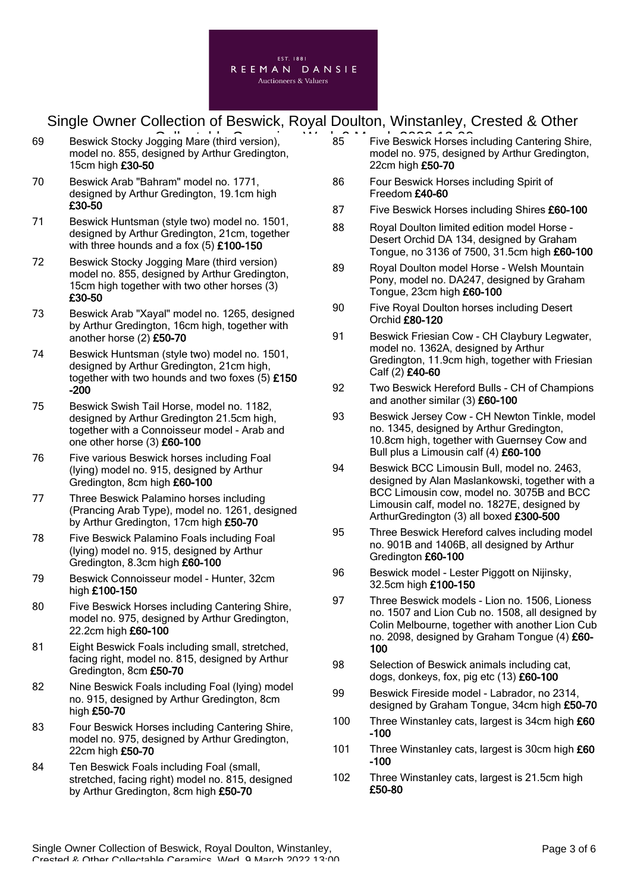

- 69 Beswick Stocky Jogging Mare (third version), 85 Five Beswick Horses i model no. 855, designed by Arthur Gredington, 15cm high £30-50
- 70 Beswick Arab "Bahram" model no. 1771, designed by Arthur Gredington, 19.1cm high £30-50
- 71 Beswick Huntsman (style two) model no. 1501, designed by Arthur Gredington, 21cm, together with three hounds and a fox (5) £100-150
- 72 Beswick Stocky Jogging Mare (third version) model no. 855, designed by Arthur Gredington, 15cm high together with two other horses (3) £30-50
- 73 Beswick Arab "Xayal" model no. 1265, designed by Arthur Gredington, 16cm high, together with another horse (2) £50-70
- 74 Beswick Huntsman (style two) model no. 1501, designed by Arthur Gredington, 21cm high, together with two hounds and two foxes (5) £150 -200
- 75 Beswick Swish Tail Horse, model no. 1182, designed by Arthur Gredington 21.5cm high, together with a Connoisseur model - Arab and one other horse (3) £60-100
- 76 Five various Beswick horses including Foal (lying) model no. 915, designed by Arthur Gredington, 8cm high £60-100
- 77 Three Beswick Palamino horses including (Prancing Arab Type), model no. 1261, designed by Arthur Gredington, 17cm high £50-70
- 78 Five Beswick Palamino Foals including Foal (lying) model no. 915, designed by Arthur Gredington, 8.3cm high £60-100
- 79 Beswick Connoisseur model Hunter, 32cm high £100-150
- 80 Five Beswick Horses including Cantering Shire, model no. 975, designed by Arthur Gredington, 22.2cm high £60-100
- 81 Eight Beswick Foals including small, stretched, facing right, model no. 815, designed by Arthur Gredington, 8cm £50-70
- 82 Nine Beswick Foals including Foal (lying) model no. 915, designed by Arthur Gredington, 8cm high £50-70
- 83 Four Beswick Horses including Cantering Shire, model no. 975, designed by Arthur Gredington, 22cm high £50-70
- 84 Ten Beswick Foals including Foal (small, stretched, facing right) model no. 815, designed by Arthur Gredington, 8cm high £50-70
- 85 Five Beswick Horses including Cantering Shire, model no. 975, designed by Arthur Gredington, 22cm high £50-70
- 86 Four Beswick Horses including Spirit of Freedom £40-60
- 87 Five Beswick Horses including Shires £60-100
- 88 Royal Doulton limited edition model Horse Desert Orchid DA 134, designed by Graham Tongue, no 3136 of 7500, 31.5cm high £60-100
- 89 Royal Doulton model Horse Welsh Mountain Pony, model no. DA247, designed by Graham Tongue, 23cm high £60-100
- 90 Five Royal Doulton horses including Desert Orchid £80-120
- 91 Beswick Friesian Cow CH Claybury Legwater, model no. 1362A, designed by Arthur Gredington, 11.9cm high, together with Friesian Calf (2) £40-60
- 92 Two Beswick Hereford Bulls CH of Champions and another similar (3) £60-100
- 93 Beswick Jersey Cow CH Newton Tinkle, model no. 1345, designed by Arthur Gredington, 10.8cm high, together with Guernsey Cow and Bull plus a Limousin calf (4) £60-100
- 94 Beswick BCC Limousin Bull, model no. 2463, designed by Alan Maslankowski, together with a BCC Limousin cow, model no. 3075B and BCC Limousin calf, model no. 1827E, designed by ArthurGredington (3) all boxed £300-500
- 95 Three Beswick Hereford calves including model no. 901B and 1406B, all designed by Arthur Gredington £60-100
- 96 Beswick model Lester Piggott on Nijinsky, 32.5cm high £100-150
- 97 Three Beswick models Lion no. 1506, Lioness no. 1507 and Lion Cub no. 1508, all designed by Colin Melbourne, together with another Lion Cub no. 2098, designed by Graham Tongue (4) £60-100
- 98 Selection of Beswick animals including cat, dogs, donkeys, fox, pig etc (13) £60-100
- 99 Beswick Fireside model Labrador, no 2314, designed by Graham Tongue, 34cm high £50-70
- 100 Three Winstanley cats, largest is 34cm high £60 -100
- 101 Three Winstanley cats, largest is 30cm high £60 -100
- 102 Three Winstanley cats, largest is 21.5cm high £50-80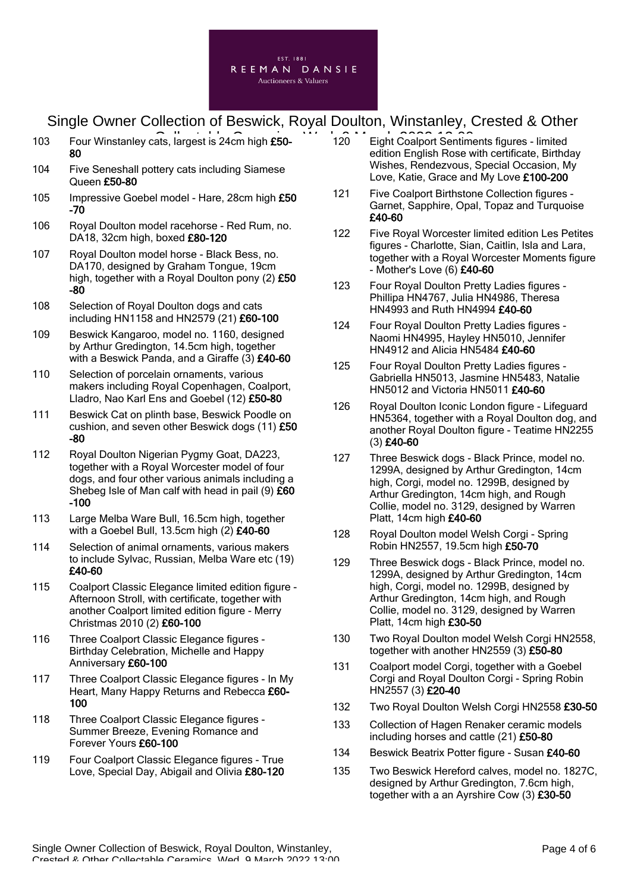

- 103 Four Winstanley cats, largest is 24cm high £50-<br>
120 Eight Coalport Sentim 80
- 104 Five Seneshall pottery cats including Siamese Queen £50-80
- 105 Impressive Goebel model Hare, 28cm high £50 -70
- 106 Royal Doulton model racehorse Red Rum, no. DA18, 32cm high, boxed £80-120
- 107 Royal Doulton model horse Black Bess, no. DA170, designed by Graham Tongue, 19cm high, together with a Royal Doulton pony (2) £50 -80
- 108 Selection of Royal Doulton dogs and cats including HN1158 and HN2579 (21) £60-100
- 109 Beswick Kangaroo, model no. 1160, designed by Arthur Gredington, 14.5cm high, together with a Beswick Panda, and a Giraffe (3) £40-60
- 110 Selection of porcelain ornaments, various makers including Royal Copenhagen, Coalport, Lladro, Nao Karl Ens and Goebel (12) £50-80
- 111 Beswick Cat on plinth base, Beswick Poodle on cushion, and seven other Beswick dogs (11) £50 -80
- 112 Royal Doulton Nigerian Pygmy Goat, DA223, together with a Royal Worcester model of four dogs, and four other various animals including a Shebeg Isle of Man calf with head in pail  $(9)$  £60 -100
- 113 Large Melba Ware Bull, 16.5cm high, together with a Goebel Bull, 13.5cm high (2) £40-60
- 114 Selection of animal ornaments, various makers to include Sylvac, Russian, Melba Ware etc (19) £40-60
- 115 Coalport Classic Elegance limited edition figure Afternoon Stroll, with certificate, together with another Coalport limited edition figure - Merry Christmas 2010 (2) £60-100
- 116 Three Coalport Classic Elegance figures Birthday Celebration, Michelle and Happy Anniversary £60-100
- 117 Three Coalport Classic Elegance figures In My Heart, Many Happy Returns and Rebecca £60- 100
- 118 Three Coalport Classic Elegance figures -Summer Breeze, Evening Romance and Forever Yours £60-100
- 119 Four Coalport Classic Elegance figures True Love, Special Day, Abigail and Olivia £80-120
- 120 Eight Coalport Sentiments figures limited edition English Rose with certificate, Birthday Wishes, Rendezvous, Special Occasion, My Love, Katie, Grace and My Love £100-200
- 121 Five Coalport Birthstone Collection figures Garnet, Sapphire, Opal, Topaz and Turquoise £40-60
- 122 Five Royal Worcester limited edition Les Petites figures - Charlotte, Sian, Caitlin, Isla and Lara, together with a Royal Worcester Moments figure - Mother's Love (6) £40-60
- 123 Four Royal Doulton Pretty Ladies figures Phillipa HN4767, Julia HN4986, Theresa HN4993 and Ruth HN4994 £40-60
- 124 Four Royal Doulton Pretty Ladies figures Naomi HN4995, Hayley HN5010, Jennifer HN4912 and Alicia HN5484 £40-60
- 125 Four Royal Doulton Pretty Ladies figures Gabriella HN5013, Jasmine HN5483, Natalie HN5012 and Victoria HN5011 £40-60
- 126 Royal Doulton Iconic London figure Lifeguard HN5364, together with a Royal Doulton dog, and another Royal Doulton figure - Teatime HN2255 (3) £40-60
- 127 Three Beswick dogs Black Prince, model no. 1299A, designed by Arthur Gredington, 14cm high, Corgi, model no. 1299B, designed by Arthur Gredington, 14cm high, and Rough Collie, model no. 3129, designed by Warren Platt, 14cm high £40-60
- 128 Royal Doulton model Welsh Corgi Spring Robin HN2557, 19.5cm high £50-70
- 129 Three Beswick dogs Black Prince, model no. 1299A, designed by Arthur Gredington, 14cm high, Corgi, model no. 1299B, designed by Arthur Gredington, 14cm high, and Rough Collie, model no. 3129, designed by Warren Platt, 14cm high £30-50
- 130 Two Roval Doulton model Welsh Corgi HN2558. together with another HN2559 (3) £50-80
- 131 Coalport model Corgi, together with a Goebel Corgi and Royal Doulton Corgi - Spring Robin HN2557 (3) £20-40
- 132 Two Roval Doulton Welsh Corgi HN2558 £30-50
- 133 Collection of Hagen Renaker ceramic models including horses and cattle (21) £50-80
- 134 Beswick Beatrix Potter figure Susan £40-60
- 135 Two Beswick Hereford calves, model no. 1827C, designed by Arthur Gredington, 7.6cm high, together with a an Ayrshire Cow (3) £30-50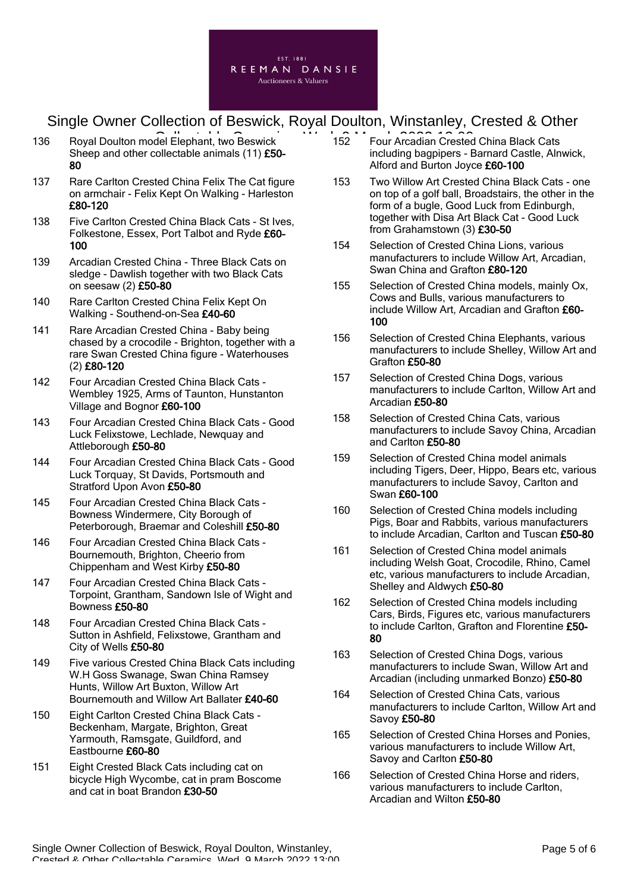

- 136 Royal Doulton model Elephant, two Beswick **Collection Contract Collection** Crested Sheep and other collectable animals (11) £50- 80
- 137 Rare Carlton Crested China Felix The Cat figure on armchair - Felix Kept On Walking - Harleston £80-120
- 138 Five Carlton Crested China Black Cats St Ives, Folkestone, Essex, Port Talbot and Ryde £60- 100
- 139 Arcadian Crested China Three Black Cats on sledge - Dawlish together with two Black Cats on seesaw (2) £50-80
- 140 Rare Carlton Crested China Felix Kept On Walking - Southend-on-Sea £40-60
- 141 Rare Arcadian Crested China Baby being chased by a crocodile - Brighton, together with a rare Swan Crested China figure - Waterhouses (2) £80-120
- 142 Four Arcadian Crested China Black Cats Wembley 1925, Arms of Taunton, Hunstanton Village and Bognor £60-100
- 143 Four Arcadian Crested China Black Cats Good Luck Felixstowe, Lechlade, Newquay and Attleborough £50-80
- 144 Four Arcadian Crested China Black Cats Good Luck Torquay, St Davids, Portsmouth and Stratford Upon Avon £50-80
- 145 Four Arcadian Crested China Black Cats Bowness Windermere, City Borough of Peterborough, Braemar and Coleshill £50-80
- 146 Four Arcadian Crested China Black Cats Bournemouth, Brighton, Cheerio from Chippenham and West Kirby £50-80
- 147 Four Arcadian Crested China Black Cats Torpoint, Grantham, Sandown Isle of Wight and Bowness £50-80
- 148 Four Arcadian Crested China Black Cats Sutton in Ashfield, Felixstowe, Grantham and City of Wells £50-80
- 149 Five various Crested China Black Cats including W.H Goss Swanage, Swan China Ramsey Hunts, Willow Art Buxton, Willow Art Bournemouth and Willow Art Ballater £40-60
- 150 Eight Carlton Crested China Black Cats Beckenham, Margate, Brighton, Great Yarmouth, Ramsgate, Guildford, and Eastbourne £60-80
- 151 Eight Crested Black Cats including cat on bicycle High Wycombe, cat in pram Boscome and cat in boat Brandon £30-50
- 152 Four Arcadian Crested China Black Cats including bagpipers - Barnard Castle, Alnwick, Alford and Burton Joyce £60-100
- 153 Two Willow Art Crested China Black Cats one on top of a golf ball, Broadstairs, the other in the form of a bugle, Good Luck from Edinburgh, together with Disa Art Black Cat - Good Luck from Grahamstown (3) £30-50
- 154 Selection of Crested China Lions, various manufacturers to include Willow Art, Arcadian, Swan China and Grafton £80-120
- 155 Selection of Crested China models, mainly Ox, Cows and Bulls, various manufacturers to include Willow Art, Arcadian and Grafton £60- 100
- 156 Selection of Crested China Elephants, various manufacturers to include Shelley, Willow Art and Grafton £50-80
- 157 Selection of Crested China Dogs, various manufacturers to include Carlton, Willow Art and Arcadian £50-80
- 158 Selection of Crested China Cats, various manufacturers to include Savoy China, Arcadian and Carlton £50-80
- 159 Selection of Crested China model animals including Tigers, Deer, Hippo, Bears etc, various manufacturers to include Savoy, Carlton and Swan £60-100
- 160 Selection of Crested China models including Pigs, Boar and Rabbits, various manufacturers to include Arcadian, Carlton and Tuscan £50-80
- 161 Selection of Crested China model animals including Welsh Goat, Crocodile, Rhino, Camel etc, various manufacturers to include Arcadian, Shelley and Aldwych £50-80
- 162 Selection of Crested China models including Cars, Birds, Figures etc, various manufacturers to include Carlton, Grafton and Florentine £50-80
- 163 Selection of Crested China Dogs, various manufacturers to include Swan, Willow Art and Arcadian (including unmarked Bonzo) £50-80
- 164 Selection of Crested China Cats, various manufacturers to include Carlton, Willow Art and Savoy £50-80
- 165 Selection of Crested China Horses and Ponies, various manufacturers to include Willow Art, Savoy and Carlton £50-80
- 166 Selection of Crested China Horse and riders, various manufacturers to include Carlton, Arcadian and Wilton £50-80